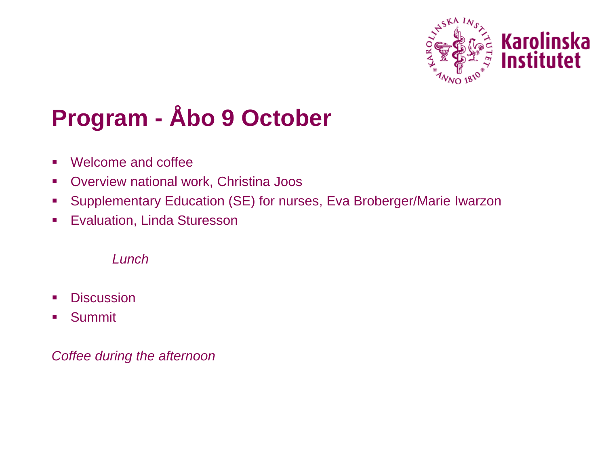

# **Program - Åbo 9 October**

- Welcome and coffee
- **Overview national work, Christina Joos**
- Supplementary Education (SE) for nurses, Eva Broberger/Marie Iwarzon
- **Evaluation, Linda Sturesson**

Lunch

- **Discussion**
- **Summit**

Coffee during the afternoon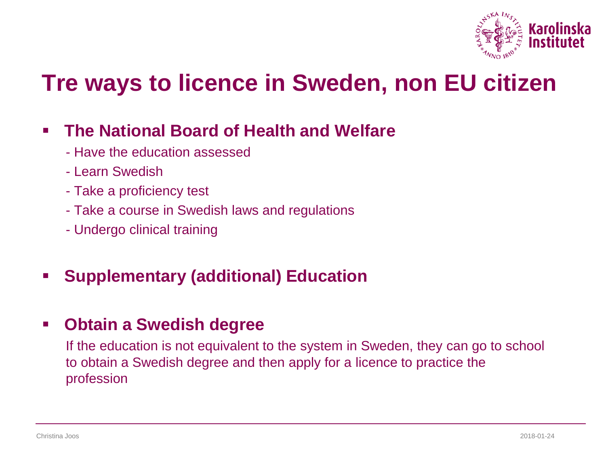

### **Tre ways to licence in Sweden, non EU citizen**

#### **The National Board of Health and Welfare**

- Have the education assessed
- Learn Swedish
- Take a proficiency test
- Take a course in Swedish laws and regulations
- Undergo clinical training

#### **Supplementary (additional) Education**

#### **Obtain a Swedish degree**

If the education is not equivalent to the system in Sweden, they can go to school to obtain a Swedish degree and then apply for a licence to practice the profession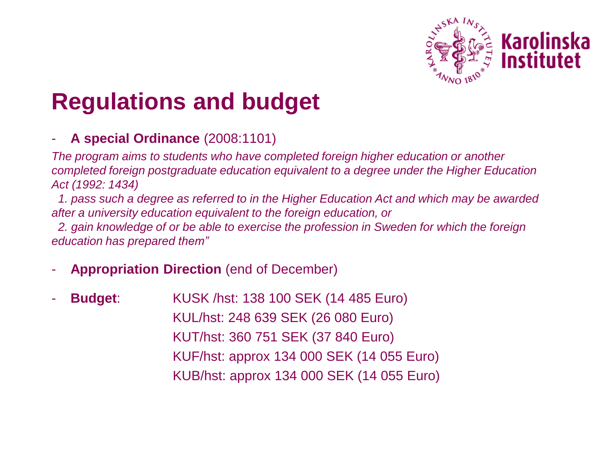

## **Regulations and budget**

#### - **A special Ordinance** (2008:1101)

The program aims to students who have completed foreign higher education or another completed foreign postgraduate education equivalent to a degree under the Higher Education Act (1992: 1434)

1. pass such a degree as referred to in the Higher Education Act and which may be awarded after a university education equivalent to the foreign education, or

2. gain knowledge of or be able to exercise the profession in Sweden for which the foreign education has prepared *them"*

- **Appropriation Direction** (end of December)
- **Budget**: KUSK /hst: 138 100 SEK (14 485 Euro) KUL/hst: 248 639 SEK (26 080 Euro) KUT/hst: 360 751 SEK (37 840 Euro) KUF/hst: approx 134 000 SEK (14 055 Euro) KUB/hst: approx 134 000 SEK (14 055 Euro)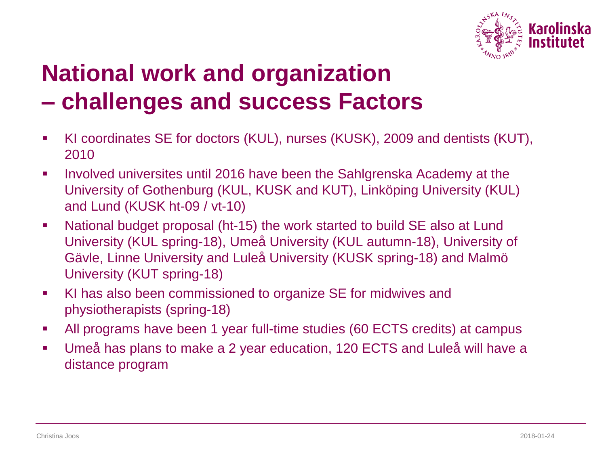

## **National work and organization – challenges and success Factors**

- KI coordinates SE for doctors (KUL), nurses (KUSK), 2009 and dentists (KUT), 2010
- **Involved universites until 2016 have been the Sahlgrenska Academy at the** University of Gothenburg (KUL, KUSK and KUT), Linköping University (KUL) and Lund (KUSK ht-09 / vt-10)
- National budget proposal (ht-15) the work started to build SE also at Lund University (KUL spring-18), Umeå University (KUL autumn-18), University of Gävle, Linne University and Luleå University (KUSK spring-18) and Malmö University (KUT spring-18)
- KI has also been commissioned to organize SE for midwives and physiotherapists (spring-18)
- All programs have been 1 year full-time studies (60 ECTS credits) at campus
- Umeå has plans to make a 2 year education, 120 ECTS and Luleå will have a distance program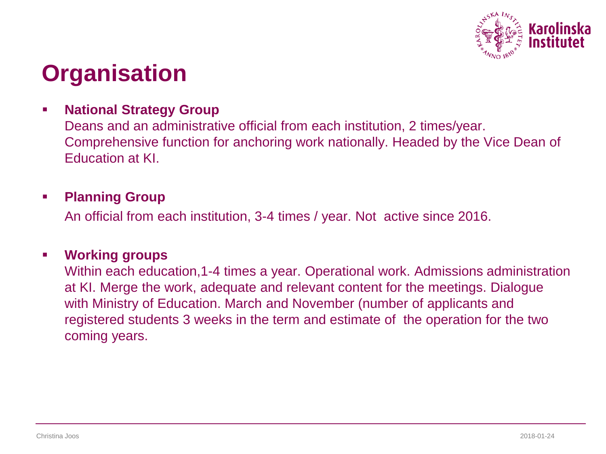

### **Organisation**

#### **National Strategy Group**

Deans and an administrative official from each institution, 2 times/year. Comprehensive function for anchoring work nationally. Headed by the Vice Dean of Education at KI.

#### **Planning Group**

An official from each institution, 3-4 times / year. Not active since 2016.

#### **Working groups**

Within each education,1-4 times a year. Operational work. Admissions administration at KI. Merge the work, adequate and relevant content for the meetings. Dialogue with Ministry of Education. March and November (number of applicants and registered students 3 weeks in the term and estimate of the operation for the two coming years.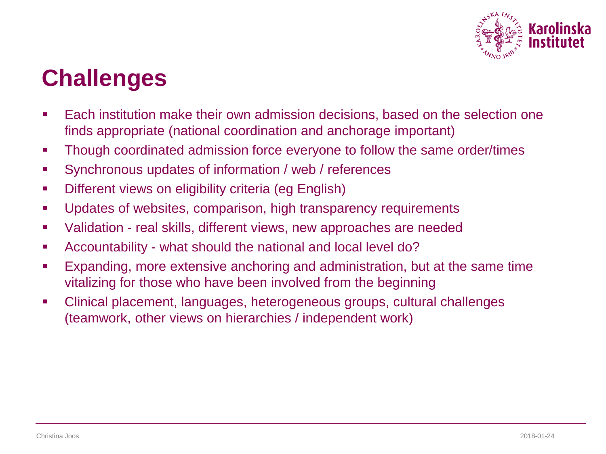

### **Challenges**

- Each institution make their own admission decisions, based on the selection one finds appropriate (national coordination and anchorage important)
- Though coordinated admission force everyone to follow the same order/times
- Synchronous updates of information / web / references
- **Different views on eligibility criteria (eg English)**
- **Updates of websites, comparison, high transparency requirements**
- **Ualidation real skills, different views, new approaches are needed**
- Accountability what should the national and local level do?
- Expanding, more extensive anchoring and administration, but at the same time vitalizing for those who have been involved from the beginning
- Clinical placement, languages, heterogeneous groups, cultural challenges (teamwork, other views on hierarchies / independent work)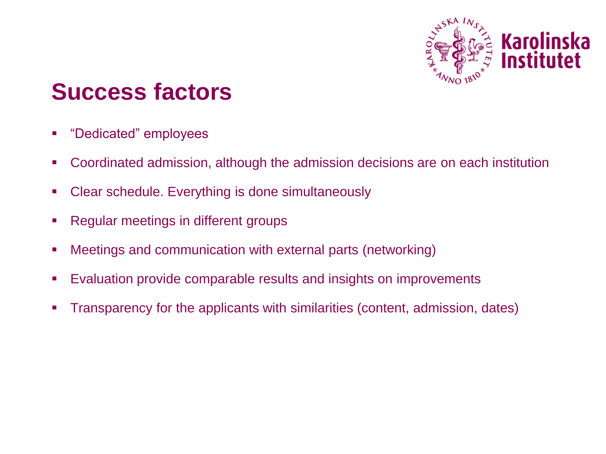

### **Success factors**

- "Dedicated" employees
- Coordinated admission, although the admission decisions are on each institution
- Clear schedule. Everything is done simultaneously
- Regular meetings in different groups
- Meetings and communication with external parts (networking)
- Evaluation provide comparable results and insights on improvements
- Transparency for the applicants with similarities (content, admission, dates)